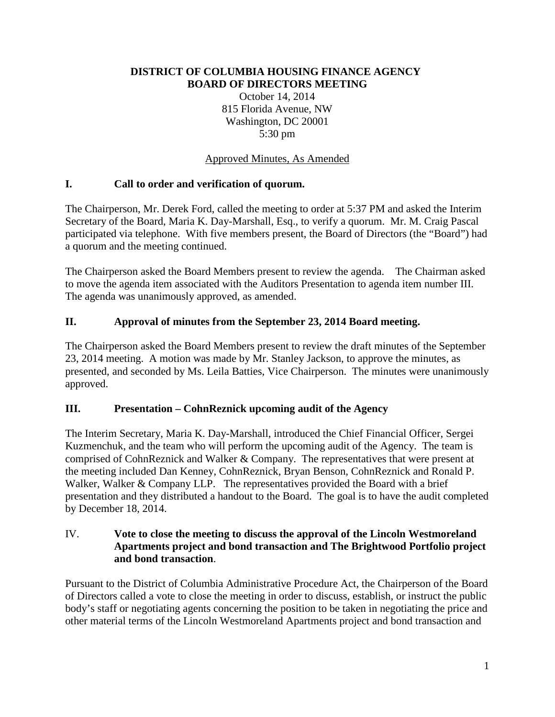#### **DISTRICT OF COLUMBIA HOUSING FINANCE AGENCY BOARD OF DIRECTORS MEETING**

October 14, 2014 815 Florida Avenue, NW Washington, DC 20001 5:30 pm

### Approved Minutes, As Amended

### **I. Call to order and verification of quorum.**

The Chairperson, Mr. Derek Ford, called the meeting to order at 5:37 PM and asked the Interim Secretary of the Board, Maria K. Day-Marshall, Esq., to verify a quorum. Mr. M. Craig Pascal participated via telephone. With five members present, the Board of Directors (the "Board") had a quorum and the meeting continued.

The Chairperson asked the Board Members present to review the agenda. The Chairman asked to move the agenda item associated with the Auditors Presentation to agenda item number III. The agenda was unanimously approved, as amended.

#### **II. Approval of minutes from the September 23, 2014 Board meeting.**

The Chairperson asked the Board Members present to review the draft minutes of the September 23, 2014 meeting. A motion was made by Mr. Stanley Jackson, to approve the minutes, as presented, and seconded by Ms. Leila Batties, Vice Chairperson. The minutes were unanimously approved.

### **III. Presentation – CohnReznick upcoming audit of the Agency**

The Interim Secretary, Maria K. Day-Marshall, introduced the Chief Financial Officer, Sergei Kuzmenchuk, and the team who will perform the upcoming audit of the Agency. The team is comprised of CohnReznick and Walker & Company. The representatives that were present at the meeting included Dan Kenney, CohnReznick, Bryan Benson, CohnReznick and Ronald P. Walker, Walker & Company LLP. The representatives provided the Board with a brief presentation and they distributed a handout to the Board. The goal is to have the audit completed by December 18, 2014.

#### IV. **Vote to close the meeting to discuss the approval of the Lincoln Westmoreland Apartments project and bond transaction and The Brightwood Portfolio project and bond transaction**.

Pursuant to the District of Columbia Administrative Procedure Act, the Chairperson of the Board of Directors called a vote to close the meeting in order to discuss, establish, or instruct the public body's staff or negotiating agents concerning the position to be taken in negotiating the price and other material terms of the Lincoln Westmoreland Apartments project and bond transaction and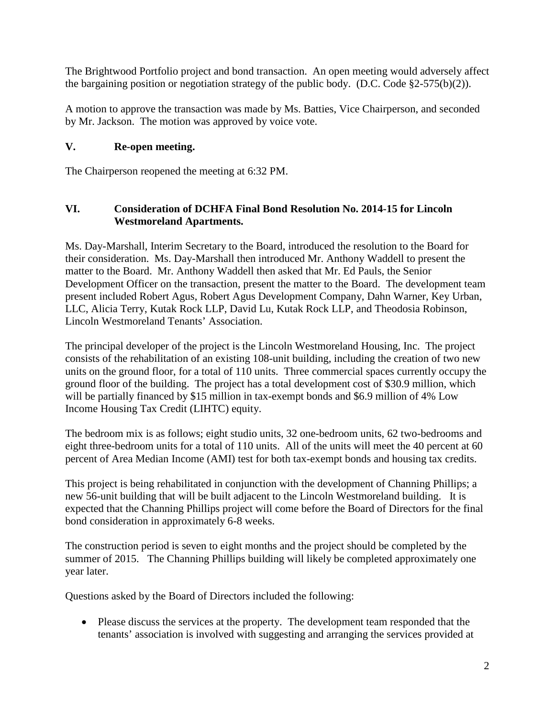The Brightwood Portfolio project and bond transaction. An open meeting would adversely affect the bargaining position or negotiation strategy of the public body. (D.C. Code  $\S2-575(b)(2)$ ).

A motion to approve the transaction was made by Ms. Batties, Vice Chairperson, and seconded by Mr. Jackson. The motion was approved by voice vote.

# **V. Re-open meeting.**

The Chairperson reopened the meeting at 6:32 PM.

## **VI. Consideration of DCHFA Final Bond Resolution No. 2014-15 for Lincoln Westmoreland Apartments.**

Ms. Day-Marshall, Interim Secretary to the Board, introduced the resolution to the Board for their consideration. Ms. Day-Marshall then introduced Mr. Anthony Waddell to present the matter to the Board. Mr. Anthony Waddell then asked that Mr. Ed Pauls, the Senior Development Officer on the transaction, present the matter to the Board. The development team present included Robert Agus, Robert Agus Development Company, Dahn Warner, Key Urban, LLC, Alicia Terry, Kutak Rock LLP, David Lu, Kutak Rock LLP, and Theodosia Robinson, Lincoln Westmoreland Tenants' Association.

The principal developer of the project is the Lincoln Westmoreland Housing, Inc. The project consists of the rehabilitation of an existing 108-unit building, including the creation of two new units on the ground floor, for a total of 110 units. Three commercial spaces currently occupy the ground floor of the building. The project has a total development cost of \$30.9 million, which will be partially financed by \$15 million in tax-exempt bonds and \$6.9 million of 4% Low Income Housing Tax Credit (LIHTC) equity.

The bedroom mix is as follows; eight studio units, 32 one-bedroom units, 62 two-bedrooms and eight three-bedroom units for a total of 110 units. All of the units will meet the 40 percent at 60 percent of Area Median Income (AMI) test for both tax-exempt bonds and housing tax credits.

This project is being rehabilitated in conjunction with the development of Channing Phillips; a new 56-unit building that will be built adjacent to the Lincoln Westmoreland building. It is expected that the Channing Phillips project will come before the Board of Directors for the final bond consideration in approximately 6-8 weeks.

The construction period is seven to eight months and the project should be completed by the summer of 2015. The Channing Phillips building will likely be completed approximately one year later.

Questions asked by the Board of Directors included the following:

• Please discuss the services at the property. The development team responded that the tenants' association is involved with suggesting and arranging the services provided at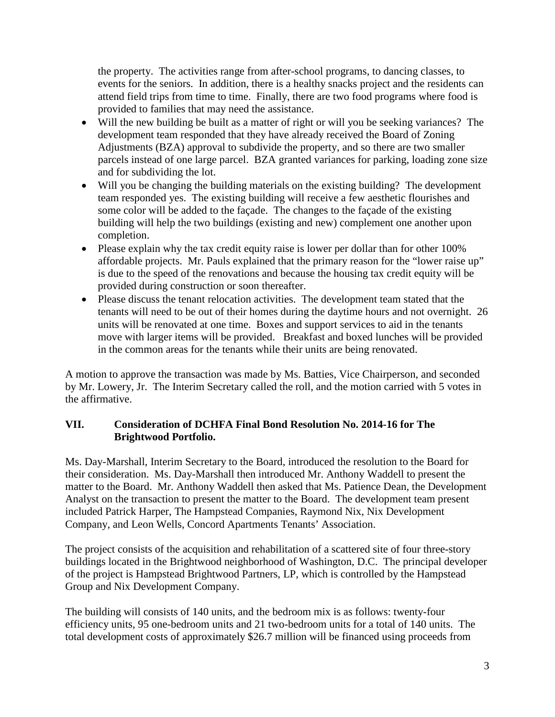the property. The activities range from after-school programs, to dancing classes, to events for the seniors. In addition, there is a healthy snacks project and the residents can attend field trips from time to time. Finally, there are two food programs where food is provided to families that may need the assistance.

- Will the new building be built as a matter of right or will you be seeking variances? The development team responded that they have already received the Board of Zoning Adjustments (BZA) approval to subdivide the property, and so there are two smaller parcels instead of one large parcel. BZA granted variances for parking, loading zone size and for subdividing the lot.
- Will you be changing the building materials on the existing building? The development team responded yes. The existing building will receive a few aesthetic flourishes and some color will be added to the façade. The changes to the façade of the existing building will help the two buildings (existing and new) complement one another upon completion.
- Please explain why the tax credit equity raise is lower per dollar than for other 100% affordable projects. Mr. Pauls explained that the primary reason for the "lower raise up" is due to the speed of the renovations and because the housing tax credit equity will be provided during construction or soon thereafter.
- Please discuss the tenant relocation activities. The development team stated that the tenants will need to be out of their homes during the daytime hours and not overnight. 26 units will be renovated at one time. Boxes and support services to aid in the tenants move with larger items will be provided. Breakfast and boxed lunches will be provided in the common areas for the tenants while their units are being renovated.

A motion to approve the transaction was made by Ms. Batties, Vice Chairperson, and seconded by Mr. Lowery, Jr. The Interim Secretary called the roll, and the motion carried with 5 votes in the affirmative.

### **VII. Consideration of DCHFA Final Bond Resolution No. 2014-16 for The Brightwood Portfolio.**

Ms. Day-Marshall, Interim Secretary to the Board, introduced the resolution to the Board for their consideration. Ms. Day-Marshall then introduced Mr. Anthony Waddell to present the matter to the Board. Mr. Anthony Waddell then asked that Ms. Patience Dean, the Development Analyst on the transaction to present the matter to the Board. The development team present included Patrick Harper, The Hampstead Companies, Raymond Nix, Nix Development Company, and Leon Wells, Concord Apartments Tenants' Association.

The project consists of the acquisition and rehabilitation of a scattered site of four three-story buildings located in the Brightwood neighborhood of Washington, D.C. The principal developer of the project is Hampstead Brightwood Partners, LP, which is controlled by the Hampstead Group and Nix Development Company.

The building will consists of 140 units, and the bedroom mix is as follows: twenty-four efficiency units, 95 one-bedroom units and 21 two-bedroom units for a total of 140 units. The total development costs of approximately \$26.7 million will be financed using proceeds from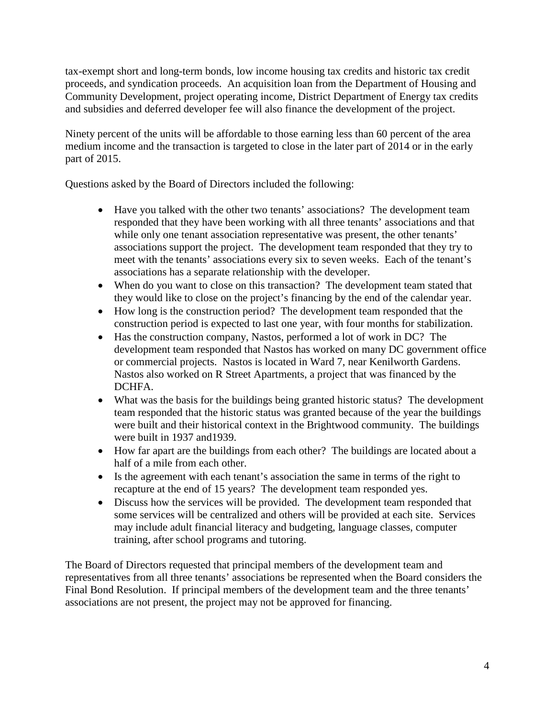tax-exempt short and long-term bonds, low income housing tax credits and historic tax credit proceeds, and syndication proceeds. An acquisition loan from the Department of Housing and Community Development, project operating income, District Department of Energy tax credits and subsidies and deferred developer fee will also finance the development of the project.

Ninety percent of the units will be affordable to those earning less than 60 percent of the area medium income and the transaction is targeted to close in the later part of 2014 or in the early part of 2015.

Questions asked by the Board of Directors included the following:

- Have you talked with the other two tenants' associations? The development team responded that they have been working with all three tenants' associations and that while only one tenant association representative was present, the other tenants' associations support the project. The development team responded that they try to meet with the tenants' associations every six to seven weeks. Each of the tenant's associations has a separate relationship with the developer.
- When do you want to close on this transaction? The development team stated that they would like to close on the project's financing by the end of the calendar year.
- How long is the construction period? The development team responded that the construction period is expected to last one year, with four months for stabilization.
- Has the construction company, Nastos, performed a lot of work in DC? The development team responded that Nastos has worked on many DC government office or commercial projects. Nastos is located in Ward 7, near Kenilworth Gardens. Nastos also worked on R Street Apartments, a project that was financed by the DCHFA.
- What was the basis for the buildings being granted historic status? The development team responded that the historic status was granted because of the year the buildings were built and their historical context in the Brightwood community. The buildings were built in 1937 and1939.
- How far apart are the buildings from each other? The buildings are located about a half of a mile from each other.
- Is the agreement with each tenant's association the same in terms of the right to recapture at the end of 15 years? The development team responded yes.
- Discuss how the services will be provided. The development team responded that some services will be centralized and others will be provided at each site. Services may include adult financial literacy and budgeting, language classes, computer training, after school programs and tutoring.

The Board of Directors requested that principal members of the development team and representatives from all three tenants' associations be represented when the Board considers the Final Bond Resolution. If principal members of the development team and the three tenants' associations are not present, the project may not be approved for financing.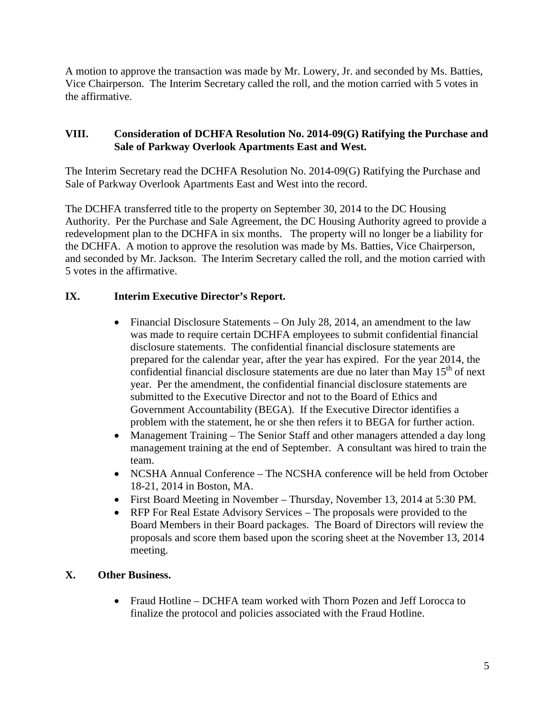A motion to approve the transaction was made by Mr. Lowery, Jr. and seconded by Ms. Batties, Vice Chairperson. The Interim Secretary called the roll, and the motion carried with 5 votes in the affirmative.

### **VIII. Consideration of DCHFA Resolution No. 2014-09(G) Ratifying the Purchase and Sale of Parkway Overlook Apartments East and West.**

The Interim Secretary read the DCHFA Resolution No. 2014-09(G) Ratifying the Purchase and Sale of Parkway Overlook Apartments East and West into the record.

The DCHFA transferred title to the property on September 30, 2014 to the DC Housing Authority. Per the Purchase and Sale Agreement, the DC Housing Authority agreed to provide a redevelopment plan to the DCHFA in six months. The property will no longer be a liability for the DCHFA. A motion to approve the resolution was made by Ms. Batties, Vice Chairperson, and seconded by Mr. Jackson. The Interim Secretary called the roll, and the motion carried with 5 votes in the affirmative.

# **IX. Interim Executive Director's Report.**

- Financial Disclosure Statements On July 28, 2014, an amendment to the law was made to require certain DCHFA employees to submit confidential financial disclosure statements. The confidential financial disclosure statements are prepared for the calendar year, after the year has expired. For the year 2014, the confidential financial disclosure statements are due no later than May  $15<sup>th</sup>$  of next year. Per the amendment, the confidential financial disclosure statements are submitted to the Executive Director and not to the Board of Ethics and Government Accountability (BEGA). If the Executive Director identifies a problem with the statement, he or she then refers it to BEGA for further action.
- Management Training The Senior Staff and other managers attended a day long management training at the end of September. A consultant was hired to train the team.
- NCSHA Annual Conference The NCSHA conference will be held from October 18-21, 2014 in Boston, MA.
- First Board Meeting in November Thursday, November 13, 2014 at 5:30 PM.
- RFP For Real Estate Advisory Services The proposals were provided to the Board Members in their Board packages. The Board of Directors will review the proposals and score them based upon the scoring sheet at the November 13, 2014 meeting.

# **X. Other Business.**

• Fraud Hotline – DCHFA team worked with Thorn Pozen and Jeff Lorocca to finalize the protocol and policies associated with the Fraud Hotline.